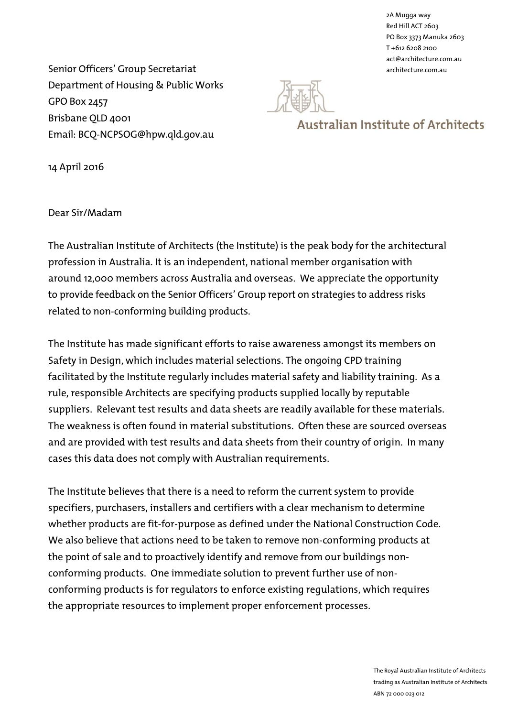2A Mugga way Red Hill ACT 2603 PO Box 3373 Manuka 2603 T +612 6208 2100 act@architecture.com.au

Senior Officers' Group Secretariat and the series of the series of the series of the series of the series architecture.com.au Department of Housing & Public Works GPO Box 2457 Brisbane QLD 4001 Email: BCQ-NCPSOG@hpw.qld.gov.au



# **Australian Institute of Architects**

14 April 2016

Dear Sir/Madam

The Australian Institute of Architects (the Institute) is the peak body for the architectural profession in Australia. It is an independent, national member organisation with around 12,000 members across Australia and overseas. We appreciate the opportunity to provide feedback on the Senior Officers' Group report on strategies to address risks related to non-conforming building products.

The Institute has made significant efforts to raise awareness amongst its members on Safety in Design, which includes material selections. The ongoing CPD training facilitated by the Institute regularly includes material safety and liability training. As a rule, responsible Architects are specifying products supplied locally by reputable suppliers. Relevant test results and data sheets are readily available for these materials. The weakness is often found in material substitutions. Often these are sourced overseas and are provided with test results and data sheets from their country of origin. In many cases this data does not comply with Australian requirements.

The Institute believes that there is a need to reform the current system to provide specifiers, purchasers, installers and certifiers with a clear mechanism to determine whether products are fit-for-purpose as defined under the National Construction Code. We also believe that actions need to be taken to remove non-conforming products at the point of sale and to proactively identify and remove from our buildings nonconforming products. One immediate solution to prevent further use of nonconforming products is for regulators to enforce existing regulations, which requires the appropriate resources to implement proper enforcement processes.

> The Royal Australian Institute of Architects trading as Australian Institute of Architects ABN 72 000 023 012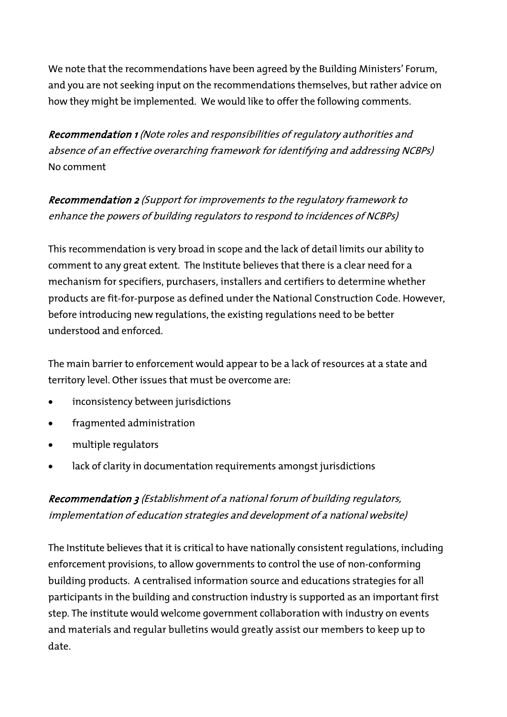We note that the recommendations have been agreed by the [Building Ministers' Forum,](http://www.industry.gov.au/industry/IndustrySectors/buildingmetalsandconstruction/Pages/Building-Ministers-Forum.aspx) and you are not seeking input on the recommendations themselves, but rather advice on how they might be implemented. We would like to offer the following comments.

Recommendation 1 (Note roles and responsibilities of regulatory authorities and absence of an effective overarching framework for identifying and addressing NCBPs) No comment

Recommendation 2 (Support for improvements to the regulatory framework to enhance the powers of building regulators to respond to incidences of NCBPs)

This recommendation is very broad in scope and the lack of detail limits our ability to comment to any great extent. The Institute believes that there is a clear need for a mechanism for specifiers, purchasers, installers and certifiers to determine whether products are fit-for-purpose as defined under the National Construction Code. However, before introducing new regulations, the existing regulations need to be better understood and enforced.

The main barrier to enforcement would appear to be a lack of resources at a state and territory level. Other issues that must be overcome are:

- inconsistency between jurisdictions
- fragmented administration
- multiple regulators
- lack of clarity in documentation requirements amongst jurisdictions

### Recommendation 3 (Establishment of a national forum of building regulators, implementation of education strategies and development of a national website)

The Institute believes that it is critical to have nationally consistent regulations, including enforcement provisions, to allow governments to control the use of non-conforming building products. A centralised information source and educations strategies for all participants in the building and construction industry is supported as an important first step. The institute would welcome government collaboration with industry on events and materials and regular bulletins would greatly assist our members to keep up to date.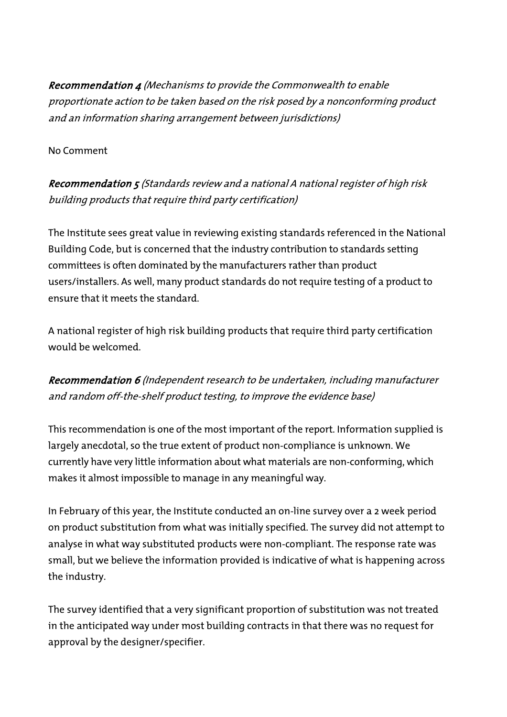Recommendation 4 (Mechanisms to provide the Commonwealth to enable proportionate action to be taken based on the risk posed by a nonconforming product and an information sharing arrangement between jurisdictions)

#### No Comment

## Recommendation 5 (Standards review and a national A national register of high risk building products that require third party certification)

The Institute sees great value in reviewing existing standards referenced in the National Building Code, but is concerned that the industry contribution to standards setting committees is often dominated by the manufacturers rather than product users/installers. As well, many product standards do not require testing of a product to ensure that it meets the standard.

A national register of high risk building products that require third party certification would be welcomed.

## Recommendation 6 (Independent research to be undertaken, including manufacturer and random off-the-shelf product testing, to improve the evidence base)

This recommendation is one of the most important of the report. Information supplied is largely anecdotal, so the true extent of product non-compliance is unknown. We currently have very little information about what materials are non-conforming, which makes it almost impossible to manage in any meaningful way.

In February of this year, the Institute conducted an on-line survey over a 2 week period on product substitution from what was initially specified. The survey did not attempt to analyse in what way substituted products were non-compliant. The response rate was small, but we believe the information provided is indicative of what is happening across the industry.

The survey identified that a very significant proportion of substitution was not treated in the anticipated way under most building contracts in that there was no request for approval by the designer/specifier.